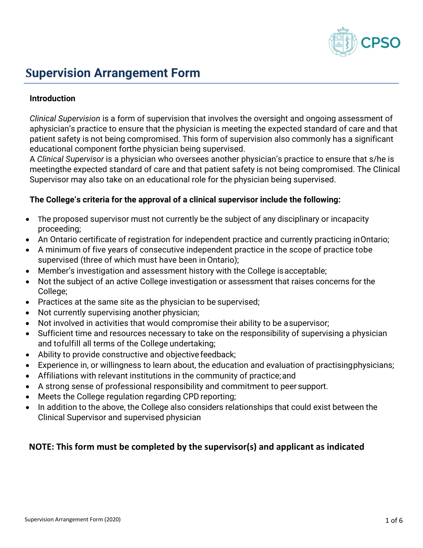

# **Supervision Arrangement Form**

## **Introduction**

*Clinical Supervision* is a form of supervision that involves the oversight and ongoing assessment of aphysician's practice to ensure that the physician is meeting the expected standard of care and that patient safety is not being compromised. This form of supervision also commonly has a significant educational component forthe physician being supervised.

A *Clinical Supervisor* is a physician who oversees another physician's practice to ensure that s/he is meetingthe expected standard of care and that patient safety is not being compromised. The Clinical Supervisor may also take on an educational role for the physician being supervised.

## **The College's criteria for the approval of a clinical supervisor include the following:**

- The proposed supervisor must not currently be the subject of any disciplinary or incapacity proceeding;
- An Ontario certificate of registration for independent practice and currently practicing inOntario;
- A minimum of five years of consecutive independent practice in the scope of practice tobe supervised (three of which must have been in Ontario);
- Member's investigation and assessment history with the College isacceptable;
- Not the subject of an active College investigation or assessment that raises concerns for the College;
- Practices at the same site as the physician to be supervised;
- Not currently supervising another physician;
- Not involved in activities that would compromise their ability to be asupervisor;
- Sufficient time and resources necessary to take on the responsibility of supervising a physician and tofulfill all terms of the College undertaking;
- Ability to provide constructive and objective feedback;
- Experience in, or willingness to learn about, the education and evaluation of practisingphysicians;
- Affiliations with relevant institutions in the community of practice;and
- A strong sense of professional responsibility and commitment to peer support.
- Meets the College regulation regarding CPD reporting;
- In addition to the above, the College also considers relationships that could exist between the Clinical Supervisor and supervised physician

# **NOTE: This form must be completed by the supervisor(s) and applicant as indicated**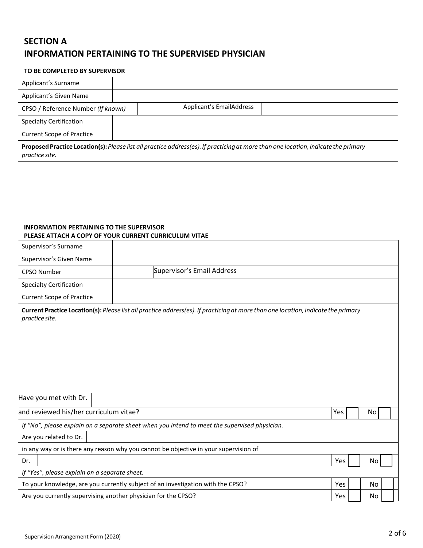# **SECTION A INFORMATION PERTAINING TO THE SUPERVISED PHYSICIAN**

### **TO BE COMPLETED BY SUPERVISOR**

| Applicant's Surname                                                                                                                                 |  |                            |     |     |    |    |  |
|-----------------------------------------------------------------------------------------------------------------------------------------------------|--|----------------------------|-----|-----|----|----|--|
| Applicant's Given Name                                                                                                                              |  |                            |     |     |    |    |  |
| CPSO / Reference Number (If known)                                                                                                                  |  | Applicant's EmailAddress   |     |     |    |    |  |
| <b>Specialty Certification</b>                                                                                                                      |  |                            |     |     |    |    |  |
| <b>Current Scope of Practice</b>                                                                                                                    |  |                            |     |     |    |    |  |
| Proposed Practice Location(s): Please list all practice address(es). If practicing at more than one location, indicate the primary                  |  |                            |     |     |    |    |  |
| practice site.                                                                                                                                      |  |                            |     |     |    |    |  |
|                                                                                                                                                     |  |                            |     |     |    |    |  |
|                                                                                                                                                     |  |                            |     |     |    |    |  |
|                                                                                                                                                     |  |                            |     |     |    |    |  |
|                                                                                                                                                     |  |                            |     |     |    |    |  |
| <b>INFORMATION PERTAINING TO THE SUPERVISOR</b>                                                                                                     |  |                            |     |     |    |    |  |
| PLEASE ATTACH A COPY OF YOUR CURRENT CURRICULUM VITAE                                                                                               |  |                            |     |     |    |    |  |
| Supervisor's Surname                                                                                                                                |  |                            |     |     |    |    |  |
| Supervisor's Given Name                                                                                                                             |  |                            |     |     |    |    |  |
| <b>CPSO Number</b>                                                                                                                                  |  | Supervisor's Email Address |     |     |    |    |  |
| <b>Specialty Certification</b>                                                                                                                      |  |                            |     |     |    |    |  |
| <b>Current Scope of Practice</b>                                                                                                                    |  |                            |     |     |    |    |  |
| Current Practice Location(s): Please list all practice address(es). If practicing at more than one location, indicate the primary<br>practice site. |  |                            |     |     |    |    |  |
|                                                                                                                                                     |  |                            |     |     |    |    |  |
|                                                                                                                                                     |  |                            |     |     |    |    |  |
|                                                                                                                                                     |  |                            |     |     |    |    |  |
|                                                                                                                                                     |  |                            |     |     |    |    |  |
|                                                                                                                                                     |  |                            |     |     |    |    |  |
|                                                                                                                                                     |  |                            |     |     |    |    |  |
| Have you met with Dr.                                                                                                                               |  |                            |     |     |    |    |  |
| and reviewed his/her curriculum vitae?                                                                                                              |  |                            |     | Yes |    | No |  |
| If "No", please explain on a separate sheet when you intend to meet the supervised physician.                                                       |  |                            |     |     |    |    |  |
| Are you related to Dr.                                                                                                                              |  |                            |     |     |    |    |  |
| in any way or is there any reason why you cannot be objective in your supervision of                                                                |  |                            |     |     |    |    |  |
| Dr.                                                                                                                                                 |  |                            |     | Yes |    | No |  |
| If "Yes", please explain on a separate sheet.                                                                                                       |  |                            |     |     |    |    |  |
| To your knowledge, are you currently subject of an investigation with the CPSO?<br>Yes                                                              |  |                            |     |     |    | No |  |
| Are you currently supervising another physician for the CPSO?                                                                                       |  |                            | Yes |     | No |    |  |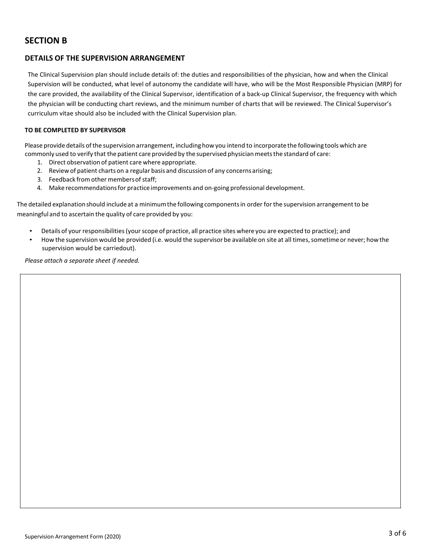# **SECTION B**

### **DETAILS OF THE SUPERVISION ARRANGEMENT**

The Clinical Supervision plan should include details of: the duties and responsibilities of the physician, how and when the Clinical Supervision will be conducted, what level of autonomy the candidate will have, who will be the Most Responsible Physician (MRP) for the care provided, the availability of the Clinical Supervisor, identification of a back-up Clinical Supervisor, the frequency with which the physician will be conducting chart reviews, and the minimum number of charts that will be reviewed. The Clinical Supervisor's curriculum vitae should also be included with the Clinical Supervision plan.

#### **TO BE COMPLETED BY SUPERVISOR**

Please provide details ofthe supervision arrangement, includinghowyou intend to incorporate the following tools which are commonly used to verify that the patient care provided by the supervised physician meetsthe standard of care:

- 1. Direct observation of patient care where appropriate.
- 2. Reviewof patient charts on a regular basis and discussion of any concernsarising;
- 3. Feedback from other members of staff;
- 4. Make recommendationsfor practice improvements and on-going professional development.

The detailed explanationshould include at a minimumthe following componentsin order forthe supervision arrangementto be meaningful and to ascertain the quality of care provided by you:

- Details of your responsibilities(yourscope of practice, all practice sites where you are expected to practice); and
- How the supervision would be provided (i.e. would the supervisor be available on site at all times, sometime or never; how the supervision would be carriedout).

*Please attach a separate sheet if needed.*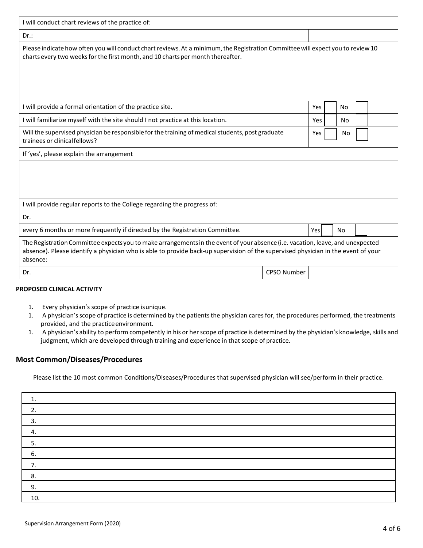| I will conduct chart reviews of the practice of:                                                                                                                                                                                                                                |                    |
|---------------------------------------------------------------------------------------------------------------------------------------------------------------------------------------------------------------------------------------------------------------------------------|--------------------|
| Dr.:                                                                                                                                                                                                                                                                            |                    |
| Please indicate how often you will conduct chart reviews. At a minimum, the Registration Committee will expect you to review 10<br>charts every two weeks for the first month, and 10 charts per month thereafter.                                                              |                    |
|                                                                                                                                                                                                                                                                                 |                    |
|                                                                                                                                                                                                                                                                                 |                    |
| I will provide a formal orientation of the practice site.                                                                                                                                                                                                                       | Yes<br>No          |
| I will familiarize myself with the site should I not practice at this location.                                                                                                                                                                                                 | Yes<br>No.         |
| Will the supervised physician be responsible for the training of medical students, post graduate<br>trainees or clinical fellows?                                                                                                                                               | Yes<br>No          |
| If 'yes', please explain the arrangement                                                                                                                                                                                                                                        |                    |
|                                                                                                                                                                                                                                                                                 |                    |
|                                                                                                                                                                                                                                                                                 |                    |
|                                                                                                                                                                                                                                                                                 |                    |
| I will provide regular reports to the College regarding the progress of:                                                                                                                                                                                                        |                    |
| Dr.                                                                                                                                                                                                                                                                             |                    |
| every 6 months or more frequently if directed by the Registration Committee.                                                                                                                                                                                                    | Yes<br><b>No</b>   |
| The Registration Committee expects you to make arrangements in the event of your absence (i.e. vacation, leave, and unexpected<br>absence). Please identify a physician who is able to provide back-up supervision of the supervised physician in the event of your<br>absence: |                    |
| Dr.                                                                                                                                                                                                                                                                             | <b>CPSO Number</b> |
|                                                                                                                                                                                                                                                                                 |                    |

## **PROPOSED CLINICAL ACTIVITY**

- 1. Every physician's scope of practice isunique.
- 1. A physician's scope of practice is determined by the patients the physician cares for, the procedures performed, the treatments provided, and the practice environment.
- 1. A physician's ability to perform competently in his or herscope of practice is determined by the physician's knowledge, skills and judgment, which are developed through training and experience in that scope of practice.

#### **Most Common/Diseases/Procedures**

Please list the 10 most common Conditions/Diseases/Procedures that supervised physician will see/perform in their practice.

| 3   |  |
|-----|--|
|     |  |
|     |  |
| 6.  |  |
|     |  |
| 8.  |  |
| 9.  |  |
| 10. |  |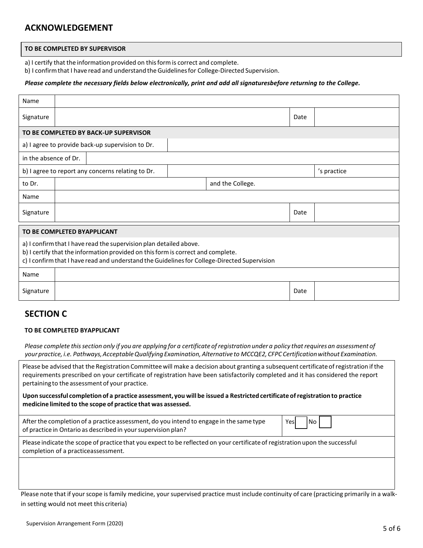## **ACKNOWLEDGEMENT**

#### **TO BE COMPLETED BY SUPERVISOR**

a) I certify that the information provided on this form is correct and complete.

b) I confirmthat I have read and understand theGuidelinesfor College-Directed Supervision.

#### *Please complete the necessary fields below electronically, print and add all signaturesbefore returning to the College.*

| Name                                                                                                                                                                                                                                                   |                                                   |                  |      |             |  |  |
|--------------------------------------------------------------------------------------------------------------------------------------------------------------------------------------------------------------------------------------------------------|---------------------------------------------------|------------------|------|-------------|--|--|
| Signature                                                                                                                                                                                                                                              |                                                   |                  | Date |             |  |  |
|                                                                                                                                                                                                                                                        | TO BE COMPLETED BY BACK-UP SUPERVISOR             |                  |      |             |  |  |
|                                                                                                                                                                                                                                                        | a) I agree to provide back-up supervision to Dr.  |                  |      |             |  |  |
| in the absence of Dr.                                                                                                                                                                                                                                  |                                                   |                  |      |             |  |  |
|                                                                                                                                                                                                                                                        | b) I agree to report any concerns relating to Dr. |                  |      | 's practice |  |  |
| to Dr.                                                                                                                                                                                                                                                 |                                                   | and the College. |      |             |  |  |
| Name                                                                                                                                                                                                                                                   |                                                   |                  |      |             |  |  |
| Signature                                                                                                                                                                                                                                              |                                                   |                  | Date |             |  |  |
| TO BE COMPLETED BYAPPLICANT                                                                                                                                                                                                                            |                                                   |                  |      |             |  |  |
| a) I confirm that I have read the supervision plan detailed above.<br>b) I certify that the information provided on this form is correct and complete.<br>c) I confirm that I have read and understand the Guidelines for College-Directed Supervision |                                                   |                  |      |             |  |  |
| Name                                                                                                                                                                                                                                                   |                                                   |                  |      |             |  |  |
| Signature                                                                                                                                                                                                                                              |                                                   |                  | Date |             |  |  |

## **SECTION C**

#### **TO BE COMPLETED BYAPPLICANT**

Please complete this section only if you are applying for a certificate of registration under a policy that requires an assessment of *yourpractice, i.e. Pathways,AcceptableQualifying Examination, Alternative to MCCQE2, CFPC Certificationwithout Examination.*

Please be advised that the Registration Committee will make a decision about granting a subsequent certificate of registration if the requirements prescribed on your certificate of registration have been satisfactorily completed and it has considered the report pertaining to the assessment of your practice.

**Upon successful completion of a practice assessment, you will be issued a Restricted certificate ofregistration to practice medicine limited to the scope of practice that was assessed.**

| After the completion of a practice assessment, do you intend to engage in the same type | Yε |
|-----------------------------------------------------------------------------------------|----|
| of practice in Ontario as described in your supervision plan?                           |    |

Yes No

Please indicate the scope of practice that you expect to be reflected on your certificate of registration upon the successful completion of a practiceassessment.

Please note that if your scope is family medicine, your supervised practice must include continuity of care (practicing primarily in a walkin setting would not meet this criteria)